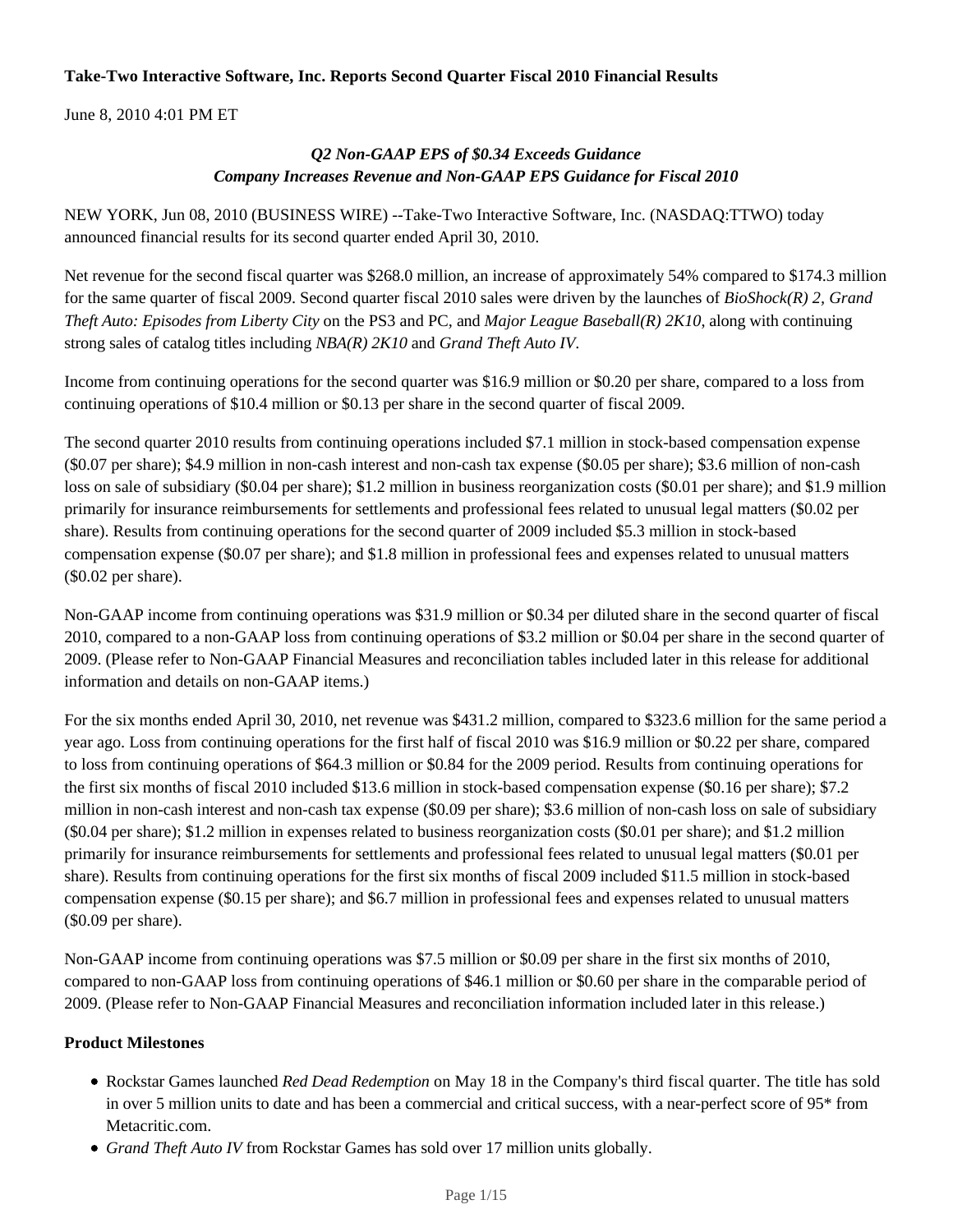#### **Take-Two Interactive Software, Inc. Reports Second Quarter Fiscal 2010 Financial Results**

June 8, 2010 4:01 PM ET

# *Q2 Non-GAAP EPS of \$0.34 Exceeds Guidance Company Increases Revenue and Non-GAAP EPS Guidance for Fiscal 2010*

NEW YORK, Jun 08, 2010 (BUSINESS WIRE) --Take-Two Interactive Software, Inc. (NASDAQ:TTWO) today announced financial results for its second quarter ended April 30, 2010.

Net revenue for the second fiscal quarter was \$268.0 million, an increase of approximately 54% compared to \$174.3 million for the same quarter of fiscal 2009. Second quarter fiscal 2010 sales were driven by the launches of *BioShock(R) 2, Grand Theft Auto: Episodes from Liberty City* on the PS3 and PC*,* and *Major League Baseball(R) 2K10*, along with continuing strong sales of catalog titles including *NBA(R) 2K10* and *Grand Theft Auto IV*.

Income from continuing operations for the second quarter was \$16.9 million or \$0.20 per share, compared to a loss from continuing operations of \$10.4 million or \$0.13 per share in the second quarter of fiscal 2009.

The second quarter 2010 results from continuing operations included \$7.1 million in stock-based compensation expense (\$0.07 per share); \$4.9 million in non-cash interest and non-cash tax expense (\$0.05 per share); \$3.6 million of non-cash loss on sale of subsidiary (\$0.04 per share); \$1.2 million in business reorganization costs (\$0.01 per share); and \$1.9 million primarily for insurance reimbursements for settlements and professional fees related to unusual legal matters (\$0.02 per share). Results from continuing operations for the second quarter of 2009 included \$5.3 million in stock-based compensation expense (\$0.07 per share); and \$1.8 million in professional fees and expenses related to unusual matters (\$0.02 per share).

Non-GAAP income from continuing operations was \$31.9 million or \$0.34 per diluted share in the second quarter of fiscal 2010, compared to a non-GAAP loss from continuing operations of \$3.2 million or \$0.04 per share in the second quarter of 2009. (Please refer to Non-GAAP Financial Measures and reconciliation tables included later in this release for additional information and details on non-GAAP items.)

For the six months ended April 30, 2010, net revenue was \$431.2 million, compared to \$323.6 million for the same period a year ago. Loss from continuing operations for the first half of fiscal 2010 was \$16.9 million or \$0.22 per share, compared to loss from continuing operations of \$64.3 million or \$0.84 for the 2009 period. Results from continuing operations for the first six months of fiscal 2010 included \$13.6 million in stock-based compensation expense (\$0.16 per share); \$7.2 million in non-cash interest and non-cash tax expense (\$0.09 per share); \$3.6 million of non-cash loss on sale of subsidiary (\$0.04 per share); \$1.2 million in expenses related to business reorganization costs (\$0.01 per share); and \$1.2 million primarily for insurance reimbursements for settlements and professional fees related to unusual legal matters (\$0.01 per share). Results from continuing operations for the first six months of fiscal 2009 included \$11.5 million in stock-based compensation expense (\$0.15 per share); and \$6.7 million in professional fees and expenses related to unusual matters (\$0.09 per share).

Non-GAAP income from continuing operations was \$7.5 million or \$0.09 per share in the first six months of 2010, compared to non-GAAP loss from continuing operations of \$46.1 million or \$0.60 per share in the comparable period of 2009. (Please refer to Non-GAAP Financial Measures and reconciliation information included later in this release.)

#### **Product Milestones**

- Rockstar Games launched *Red Dead Redemption* on May 18 in the Company's third fiscal quarter. The title has sold in over 5 million units to date and has been a commercial and critical success, with a near-perfect score of 95\* from Metacritic.com.
- *Grand Theft Auto IV* from Rockstar Games has sold over 17 million units globally.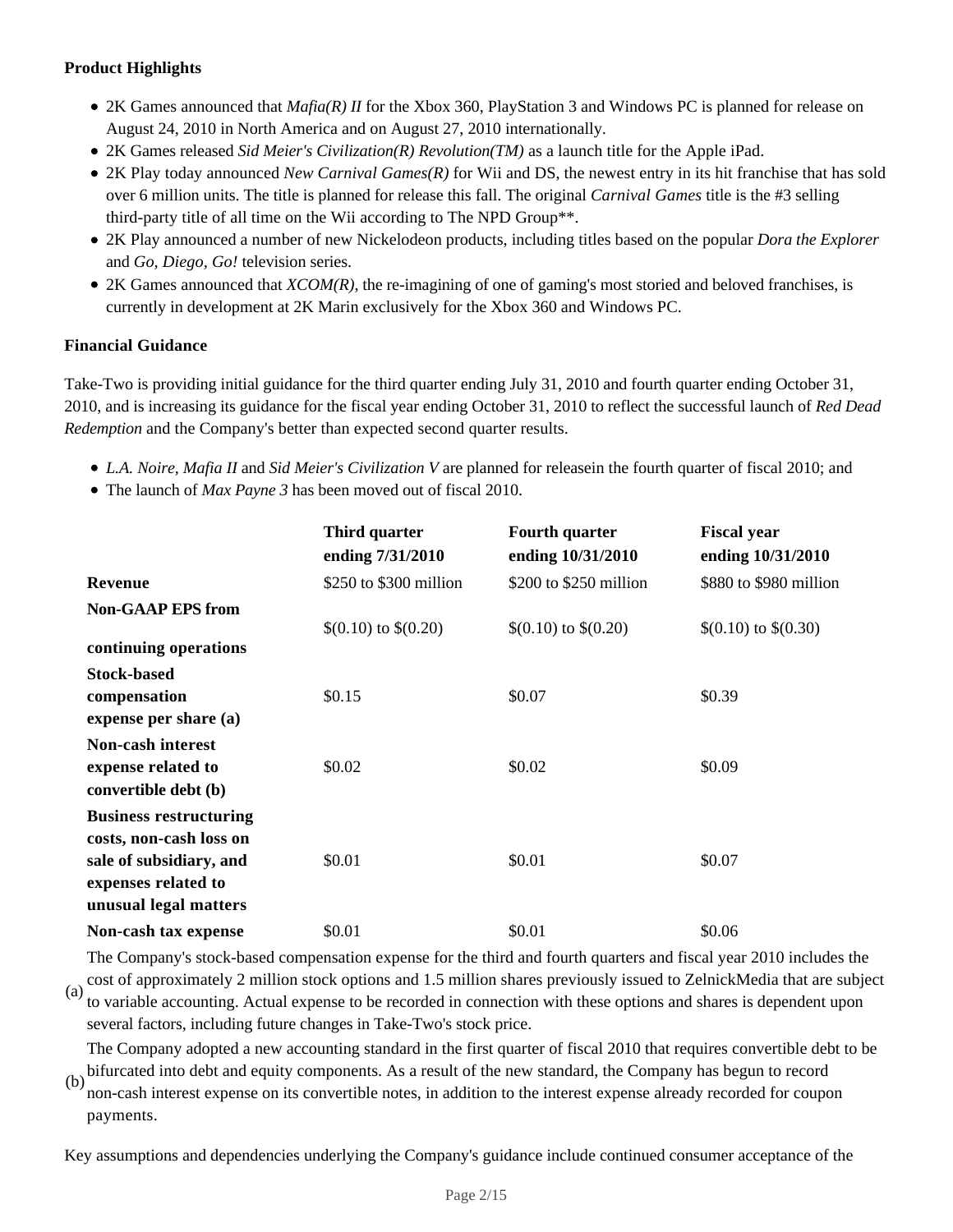## **Product Highlights**

- 2K Games announced that *Mafia(R) II* for the Xbox 360, PlayStation 3 and Windows PC is planned for release on August 24, 2010 in North America and on August 27, 2010 internationally.
- 2K Games released *Sid Meier's Civilization(R) Revolution(TM)* as a launch title for the Apple iPad.
- 2K Play today announced *New Carnival Games(R)* for Wii and DS, the newest entry in its hit franchise that has sold over 6 million units. The title is planned for release this fall. The original *Carnival Games* title is the #3 selling third-party title of all time on the Wii according to The NPD Group\*\*.
- 2K Play announced a number of new Nickelodeon products, including titles based on the popular *Dora the Explorer* and *Go, Diego, Go!* television series.
- 2K Games announced that *XCOM(R)*, the re-imagining of one of gaming's most storied and beloved franchises, is currently in development at 2K Marin exclusively for the Xbox 360 and Windows PC.

## **Financial Guidance**

Take-Two is providing initial guidance for the third quarter ending July 31, 2010 and fourth quarter ending October 31, 2010, and is increasing its guidance for the fiscal year ending October 31, 2010 to reflect the successful launch of *Red Dead Redemption* and the Company's better than expected second quarter results.

- *L.A. Noire, Mafia II* and *Sid Meier's Civilization V* are planned for releasein the fourth quarter of fiscal 2010; and
- The launch of *Max Payne 3* has been moved out of fiscal 2010.

|                                                                                                                                     | Third quarter<br>ending 7/31/2010 | <b>Fourth quarter</b><br>ending 10/31/2010 | <b>Fiscal year</b><br>ending 10/31/2010 |
|-------------------------------------------------------------------------------------------------------------------------------------|-----------------------------------|--------------------------------------------|-----------------------------------------|
| Revenue                                                                                                                             | \$250 to \$300 million            | \$200 to \$250 million                     | \$880 to \$980 million                  |
| <b>Non-GAAP EPS from</b><br>continuing operations                                                                                   | $$(0.10)$ to $$(0.20)$            | $$(0.10)$ to $$(0.20)$                     | $$(0.10)$ to $$(0.30)$                  |
| <b>Stock-based</b><br>compensation<br>expense per share (a)                                                                         | \$0.15                            | \$0.07                                     | \$0.39                                  |
| Non-cash interest<br>expense related to<br>convertible debt (b)                                                                     | \$0.02                            | \$0.02                                     | \$0.09                                  |
| <b>Business restructuring</b><br>costs, non-cash loss on<br>sale of subsidiary, and<br>expenses related to<br>unusual legal matters | \$0.01                            | \$0.01                                     | \$0.07                                  |
| Non-cash tax expense                                                                                                                | \$0.01                            | \$0.01                                     | \$0.06                                  |

(a) The Company's stock-based compensation expense for the third and fourth quarters and fiscal year 2010 includes the cost of approximately 2 million stock options and 1.5 million shares previously issued to ZelnickMedia that are subject to variable accounting. Actual expense to be recorded in connection with these options and shares is dependent upon

several factors, including future changes in Take-Two's stock price.

The Company adopted a new accounting standard in the first quarter of fiscal 2010 that requires convertible debt to be bifurcated into debt and equity components. As a result of the new standard, the Company has begun to record

(b) non-cash interest expense on its convertible notes, in addition to the interest expense already recorded for coupon payments.

Key assumptions and dependencies underlying the Company's guidance include continued consumer acceptance of the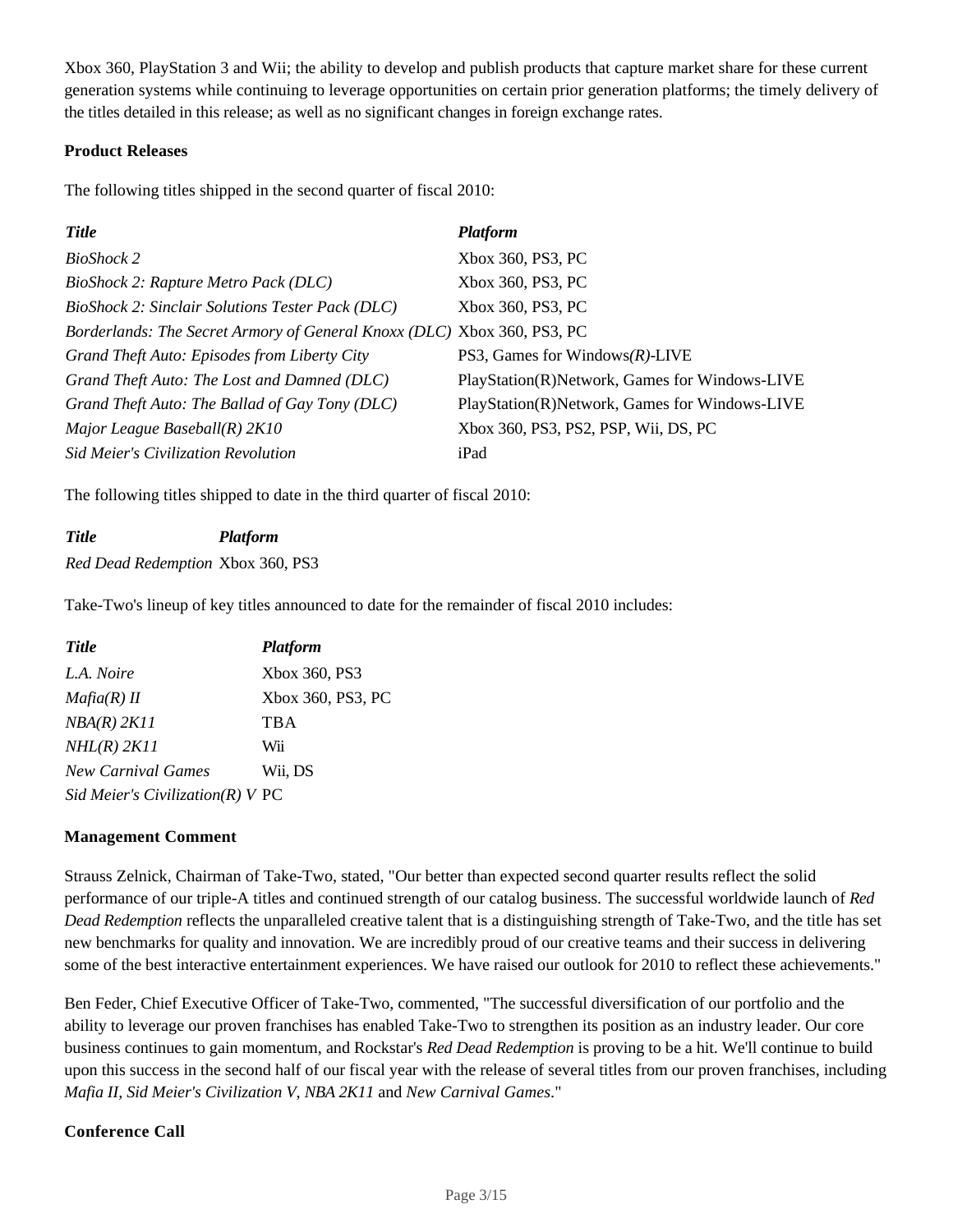Xbox 360, PlayStation 3 and Wii; the ability to develop and publish products that capture market share for these current generation systems while continuing to leverage opportunities on certain prior generation platforms; the timely delivery of the titles detailed in this release; as well as no significant changes in foreign exchange rates.

## **Product Releases**

The following titles shipped in the second quarter of fiscal 2010:

| <b>Title</b>                                                            | <b>Platform</b>                               |
|-------------------------------------------------------------------------|-----------------------------------------------|
| BioShock 2                                                              | Xbox 360, PS3, PC                             |
| BioShock 2: Rapture Metro Pack (DLC)                                    | Xbox 360, PS3, PC                             |
| <b>BioShock 2: Sinclair Solutions Tester Pack (DLC)</b>                 | Xbox 360, PS3, PC                             |
| Borderlands: The Secret Armory of General Knoxx (DLC) Xbox 360, PS3, PC |                                               |
| Grand Theft Auto: Episodes from Liberty City                            | PS3, Games for Windows $(R)$ -LIVE            |
| Grand Theft Auto: The Lost and Damned (DLC)                             | PlayStation(R)Network, Games for Windows-LIVE |
| Grand Theft Auto: The Ballad of Gay Tony (DLC)                          | PlayStation(R)Network, Games for Windows-LIVE |
| Major League Baseball $(R)$ 2K10                                        | Xbox 360, PS3, PS2, PSP, Wii, DS, PC          |
| <b>Sid Meier's Civilization Revolution</b>                              | iPad                                          |

The following titles shipped to date in the third quarter of fiscal 2010:

| <b>Title</b>                      | <b>Platform</b> |
|-----------------------------------|-----------------|
| Red Dead Redemption Xbox 360, PS3 |                 |

Take-Two's lineup of key titles announced to date for the remainder of fiscal 2010 includes:

| <b>Title</b>                         | <b>Platform</b>   |
|--------------------------------------|-------------------|
| L.A. Noire                           | Xbox 360, PS3     |
| $Mafia(R)$ II                        | Xbox 360, PS3, PC |
| NBA(R) 2K11                          | <b>TBA</b>        |
| $NHL(R)$ $2K11$                      | Wii               |
| <b>New Carnival Games</b>            | Wii. DS           |
| Sid Meier's Civilization( $R$ ) V PC |                   |

#### **Management Comment**

Strauss Zelnick, Chairman of Take-Two, stated, "Our better than expected second quarter results reflect the solid performance of our triple-A titles and continued strength of our catalog business. The successful worldwide launch of *Red Dead Redemption* reflects the unparalleled creative talent that is a distinguishing strength of Take-Two, and the title has set new benchmarks for quality and innovation. We are incredibly proud of our creative teams and their success in delivering some of the best interactive entertainment experiences. We have raised our outlook for 2010 to reflect these achievements."

Ben Feder, Chief Executive Officer of Take-Two, commented, "The successful diversification of our portfolio and the ability to leverage our proven franchises has enabled Take-Two to strengthen its position as an industry leader. Our core business continues to gain momentum, and Rockstar's *Red Dead Redemption* is proving to be a hit. We'll continue to build upon this success in the second half of our fiscal year with the release of several titles from our proven franchises, including *Mafia II*, *Sid Meier's Civilization V*, *NBA 2K11* and *New Carnival Games*."

#### **Conference Call**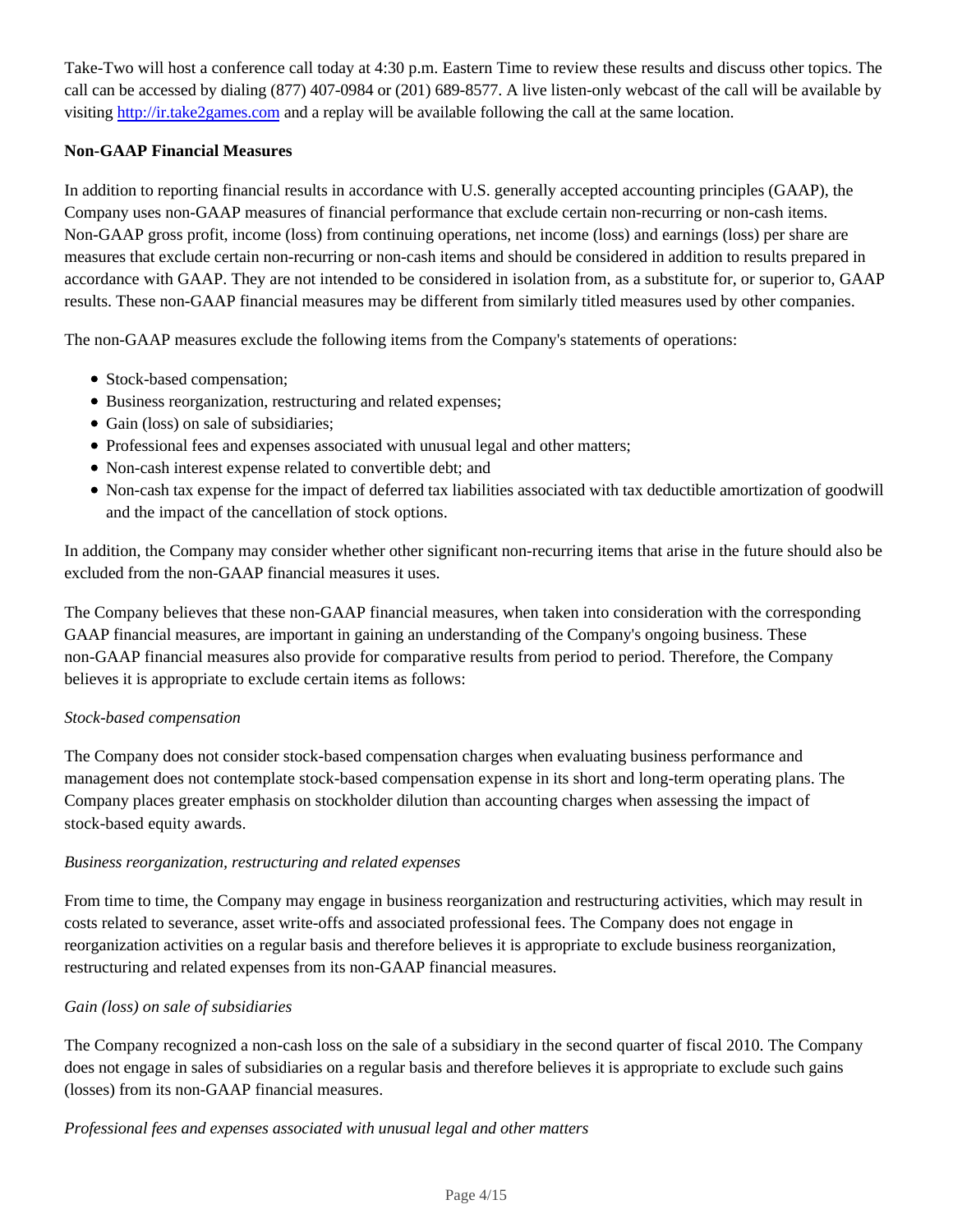Take-Two will host a conference call today at 4:30 p.m. Eastern Time to review these results and discuss other topics. The call can be accessed by dialing (877) 407-0984 or (201) 689-8577. A live listen-only webcast of the call will be available by visiting http://ir.take2games.com and a replay will be available following the call at the same location.

## **Non-GAAP Financial Measures**

In addition to reporting financial results in accordance with U.S. generally accepted accounting principles (GAAP), the Company uses non-GAAP measures of financial performance that exclude certain non-recurring or non-cash items. Non-GAAP gross profit, income (loss) from continuing operations, net income (loss) and earnings (loss) per share are measures that exclude certain non-recurring or non-cash items and should be considered in addition to results prepared in accordance with GAAP. They are not intended to be considered in isolation from, as a substitute for, or superior to, GAAP results. These non-GAAP financial measures may be different from similarly titled measures used by other companies.

The non-GAAP measures exclude the following items from the Company's statements of operations:

- Stock-based compensation;
- Business reorganization, restructuring and related expenses;
- Gain (loss) on sale of subsidiaries;
- Professional fees and expenses associated with unusual legal and other matters;
- Non-cash interest expense related to convertible debt; and
- Non-cash tax expense for the impact of deferred tax liabilities associated with tax deductible amortization of goodwill and the impact of the cancellation of stock options.

In addition, the Company may consider whether other significant non-recurring items that arise in the future should also be excluded from the non-GAAP financial measures it uses.

The Company believes that these non-GAAP financial measures, when taken into consideration with the corresponding GAAP financial measures, are important in gaining an understanding of the Company's ongoing business. These non-GAAP financial measures also provide for comparative results from period to period. Therefore, the Company believes it is appropriate to exclude certain items as follows:

## *Stock-based compensation*

The Company does not consider stock-based compensation charges when evaluating business performance and management does not contemplate stock-based compensation expense in its short and long-term operating plans. The Company places greater emphasis on stockholder dilution than accounting charges when assessing the impact of stock-based equity awards.

## *Business reorganization, restructuring and related expenses*

From time to time, the Company may engage in business reorganization and restructuring activities, which may result in costs related to severance, asset write-offs and associated professional fees. The Company does not engage in reorganization activities on a regular basis and therefore believes it is appropriate to exclude business reorganization, restructuring and related expenses from its non-GAAP financial measures.

## *Gain (loss) on sale of subsidiaries*

The Company recognized a non-cash loss on the sale of a subsidiary in the second quarter of fiscal 2010. The Company does not engage in sales of subsidiaries on a regular basis and therefore believes it is appropriate to exclude such gains (losses) from its non-GAAP financial measures.

#### *Professional fees and expenses associated with unusual legal and other matters*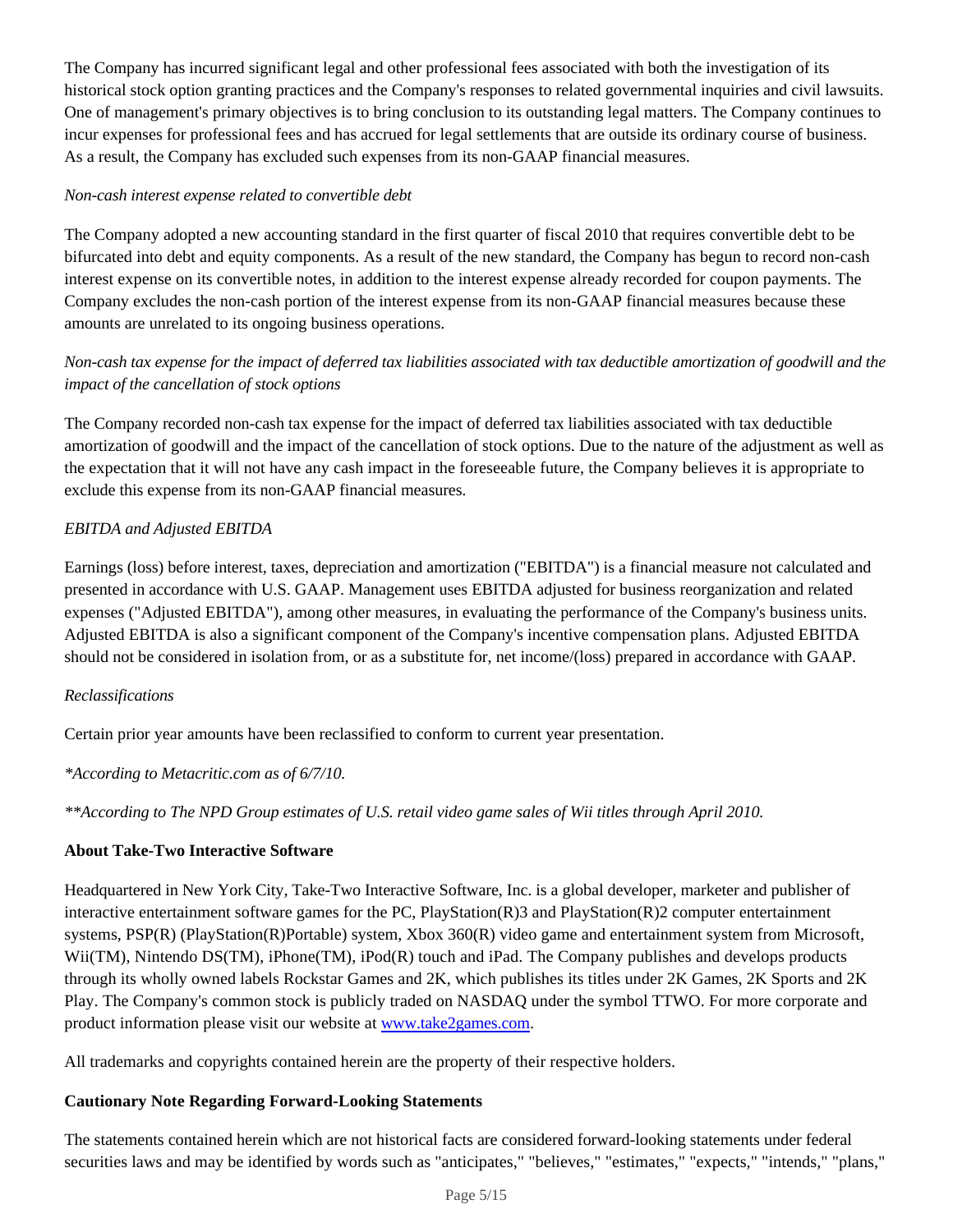The Company has incurred significant legal and other professional fees associated with both the investigation of its historical stock option granting practices and the Company's responses to related governmental inquiries and civil lawsuits. One of management's primary objectives is to bring conclusion to its outstanding legal matters. The Company continues to incur expenses for professional fees and has accrued for legal settlements that are outside its ordinary course of business. As a result, the Company has excluded such expenses from its non-GAAP financial measures.

## *Non-cash interest expense related to convertible debt*

The Company adopted a new accounting standard in the first quarter of fiscal 2010 that requires convertible debt to be bifurcated into debt and equity components. As a result of the new standard, the Company has begun to record non-cash interest expense on its convertible notes, in addition to the interest expense already recorded for coupon payments. The Company excludes the non-cash portion of the interest expense from its non-GAAP financial measures because these amounts are unrelated to its ongoing business operations.

# *Non-cash tax expense for the impact of deferred tax liabilities associated with tax deductible amortization of goodwill and the impact of the cancellation of stock options*

The Company recorded non-cash tax expense for the impact of deferred tax liabilities associated with tax deductible amortization of goodwill and the impact of the cancellation of stock options. Due to the nature of the adjustment as well as the expectation that it will not have any cash impact in the foreseeable future, the Company believes it is appropriate to exclude this expense from its non-GAAP financial measures*.*

## *EBITDA and Adjusted EBITDA*

Earnings (loss) before interest, taxes, depreciation and amortization ("EBITDA") is a financial measure not calculated and presented in accordance with U.S. GAAP. Management uses EBITDA adjusted for business reorganization and related expenses ("Adjusted EBITDA"), among other measures, in evaluating the performance of the Company's business units. Adjusted EBITDA is also a significant component of the Company's incentive compensation plans. Adjusted EBITDA should not be considered in isolation from, or as a substitute for, net income/(loss) prepared in accordance with GAAP.

#### *Reclassifications*

Certain prior year amounts have been reclassified to conform to current year presentation.

*\*According to Metacritic.com as of 6/7/10.*

*\*\*According to The NPD Group estimates of U.S. retail video game sales of Wii titles through April 2010.*

## **About Take-Two Interactive Software**

Headquartered in New York City, Take-Two Interactive Software, Inc. is a global developer, marketer and publisher of interactive entertainment software games for the PC, PlayStation(R)3 and PlayStation(R)2 computer entertainment systems, PSP(R) (PlayStation(R)Portable) system, Xbox 360(R) video game and entertainment system from Microsoft, Wii(TM), Nintendo DS(TM), iPhone(TM), iPod(R) touch and iPad. The Company publishes and develops products through its wholly owned labels Rockstar Games and 2K, which publishes its titles under 2K Games, 2K Sports and 2K Play. The Company's common stock is publicly traded on NASDAQ under the symbol TTWO. For more corporate and product information please visit our website at www.take2games.com.

All trademarks and copyrights contained herein are the property of their respective holders.

## **Cautionary Note Regarding Forward-Looking Statements**

The statements contained herein which are not historical facts are considered forward-looking statements under federal securities laws and may be identified by words such as "anticipates," "believes," "estimates," "expects," "intends," "plans,"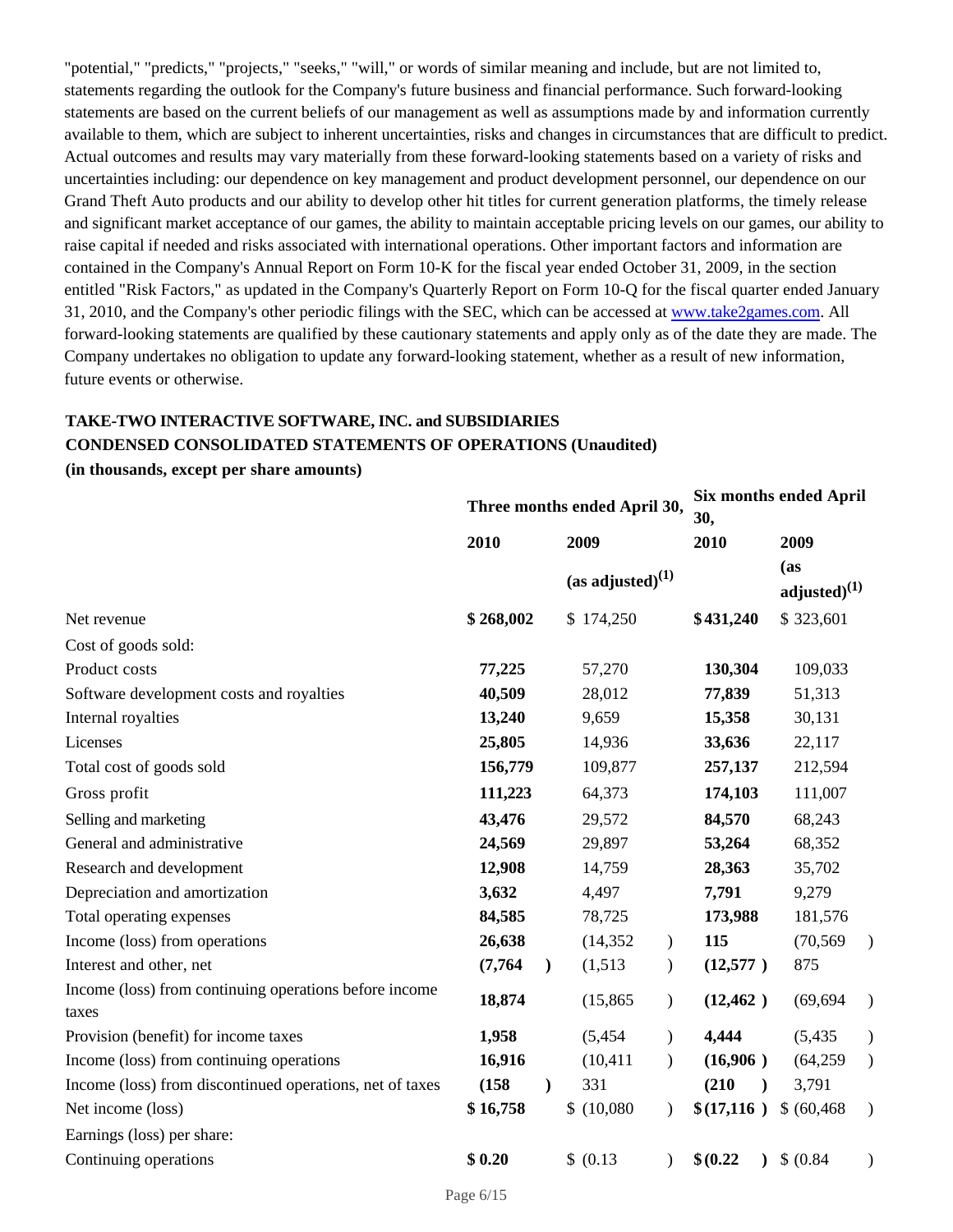"potential," "predicts," "projects," "seeks," "will," or words of similar meaning and include, but are not limited to, statements regarding the outlook for the Company's future business and financial performance. Such forward-looking statements are based on the current beliefs of our management as well as assumptions made by and information currently available to them, which are subject to inherent uncertainties, risks and changes in circumstances that are difficult to predict. Actual outcomes and results may vary materially from these forward-looking statements based on a variety of risks and uncertainties including: our dependence on key management and product development personnel, our dependence on our Grand Theft Auto products and our ability to develop other hit titles for current generation platforms, the timely release and significant market acceptance of our games, the ability to maintain acceptable pricing levels on our games, our ability to raise capital if needed and risks associated with international operations. Other important factors and information are contained in the Company's Annual Report on Form 10-K for the fiscal year ended October 31, 2009, in the section entitled "Risk Factors," as updated in the Company's Quarterly Report on Form 10-Q for the fiscal quarter ended January 31, 2010, and the Company's other periodic filings with the SEC, which can be accessed at www.take2games.com. All forward-looking statements are qualified by these cautionary statements and apply only as of the date they are made. The Company undertakes no obligation to update any forward-looking statement, whether as a result of new information, future events or otherwise.

# **TAKE-TWO INTERACTIVE SOFTWARE, INC. and SUBSIDIARIES CONDENSED CONSOLIDATED STATEMENTS OF OPERATIONS (Unaudited) (in thousands, except per share amounts)**

|                                                                 | Three months ended April 30, |           | <b>Six months ended April</b><br>30, |                       |               |            |  |                            |               |
|-----------------------------------------------------------------|------------------------------|-----------|--------------------------------------|-----------------------|---------------|------------|--|----------------------------|---------------|
|                                                                 | 2010                         |           | 2009                                 |                       |               | 2010       |  | 2009                       |               |
|                                                                 |                              |           |                                      | $(as adjusted)^{(1)}$ |               |            |  | (as)<br>adjusted $)^{(1)}$ |               |
| Net revenue                                                     | \$268,002                    |           |                                      | \$174,250             |               | \$431,240  |  | \$323,601                  |               |
| Cost of goods sold:                                             |                              |           |                                      |                       |               |            |  |                            |               |
| Product costs                                                   | 77,225                       |           |                                      | 57,270                |               | 130,304    |  | 109,033                    |               |
| Software development costs and royalties                        | 40,509                       |           |                                      | 28,012                |               | 77,839     |  | 51,313                     |               |
| Internal royalties                                              | 13,240                       |           |                                      | 9,659                 |               | 15,358     |  | 30,131                     |               |
| Licenses                                                        | 25,805                       |           |                                      | 14,936                |               | 33,636     |  | 22,117                     |               |
| Total cost of goods sold                                        | 156,779                      |           |                                      | 109,877               |               | 257,137    |  | 212,594                    |               |
| Gross profit                                                    | 111,223                      |           |                                      | 64,373                |               | 174,103    |  | 111,007                    |               |
| Selling and marketing                                           | 43,476                       |           |                                      | 29,572                |               | 84,570     |  | 68,243                     |               |
| General and administrative                                      | 24,569                       |           |                                      | 29,897                |               | 53,264     |  | 68,352                     |               |
| Research and development                                        | 12,908                       |           |                                      | 14,759                |               | 28,363     |  | 35,702                     |               |
| Depreciation and amortization                                   | 3,632                        |           |                                      | 4,497                 |               | 7,791      |  | 9,279                      |               |
| Total operating expenses                                        | 84,585                       |           |                                      | 78,725                |               | 173,988    |  | 181,576                    |               |
| Income (loss) from operations                                   | 26,638                       |           |                                      | (14, 352)             | $\mathcal{F}$ | 115        |  | (70, 569)                  |               |
| Interest and other, net                                         | (7,764)                      |           |                                      | (1,513)               | $\mathcal{E}$ | (12,577)   |  | 875                        |               |
| Income (loss) from continuing operations before income<br>taxes | 18,874                       |           |                                      | (15, 865)             | $\mathcal{L}$ | (12, 462)  |  | (69, 694)                  | )             |
| Provision (benefit) for income taxes                            | 1,958                        |           |                                      | (5, 454)              | $\mathcal{C}$ | 4,444      |  | (5, 435)                   |               |
| Income (loss) from continuing operations                        | 16,916                       |           |                                      | (10, 411)             | $\lambda$     | (16,906)   |  | (64,259)                   | $\mathcal{E}$ |
| Income (loss) from discontinued operations, net of taxes        | (158)                        | $\lambda$ |                                      | 331                   |               | (210)      |  | 3,791                      |               |
| Net income (loss)                                               | \$16,758                     |           |                                      | \$(10,080)            | $\mathcal{E}$ | \$(17,116) |  | \$ (60, 468)               | )             |
| Earnings (loss) per share:                                      |                              |           |                                      |                       |               |            |  |                            |               |
| Continuing operations                                           | \$0.20                       |           |                                      | \$ (0.13)             |               | \$0.22     |  | \$ (0.84)                  |               |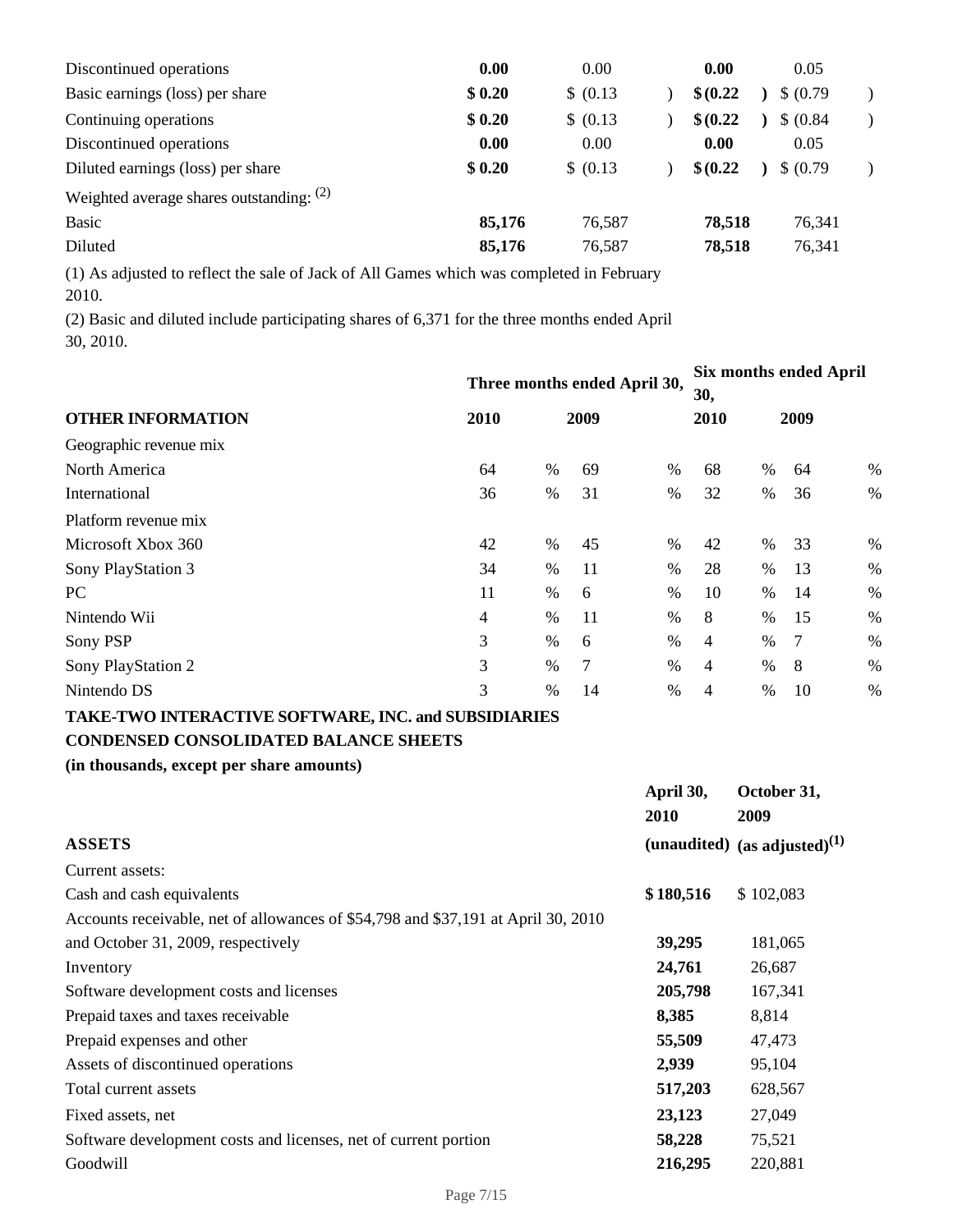| 0.00<br>0.05          |
|-----------------------|
| \$0.22\$<br>\$ (0.79) |
| \$0.22\$<br>\$ (0.84) |
| 0.00<br>0.05          |
| \$0.22\$<br>\$ (0.79) |
|                       |
| 78,518<br>76,341      |
| 78,518<br>76,341      |
|                       |

(1) As adjusted to reflect the sale of Jack of All Games which was completed in February 2010.

(2) Basic and diluted include participating shares of 6,371 for the three months ended April 30, 2010.

|                          | Three months ended April 30, | <b>Six months ended April</b><br>30, |      |      |                |      |      |      |
|--------------------------|------------------------------|--------------------------------------|------|------|----------------|------|------|------|
| <b>OTHER INFORMATION</b> | 2010                         |                                      | 2009 |      | 2010           |      | 2009 |      |
| Geographic revenue mix   |                              |                                      |      |      |                |      |      |      |
| North America            | 64                           | $\%$                                 | 69   | %    | 68             | $\%$ | 64   | $\%$ |
| International            | 36                           | $\%$                                 | 31   | $\%$ | 32             | $\%$ | 36   | $\%$ |
| Platform revenue mix     |                              |                                      |      |      |                |      |      |      |
| Microsoft Xbox 360       | 42                           | $\%$                                 | 45   | %    | 42             | %    | 33   | %    |
| Sony PlayStation 3       | 34                           | $\%$                                 | 11   | %    | 28             | $\%$ | 13   | $\%$ |
| PC.                      | 11                           | $\%$                                 | 6    | $\%$ | 10             | %    | 14   | $\%$ |
| Nintendo Wii             | 4                            | %                                    | 11   | $\%$ | 8              | $\%$ | 15   | $\%$ |
| Sony PSP                 | 3                            | %                                    | 6    | %    | 4              | %    | 7    | $\%$ |
| Sony PlayStation 2       | 3                            | $\frac{0}{0}$                        | 7    | $\%$ | $\overline{4}$ | $\%$ | 8    | $\%$ |
| Nintendo DS              | 3                            | %                                    | 14   | $\%$ | 4              | $\%$ | 10   | %    |

## **TAKE-TWO INTERACTIVE SOFTWARE, INC. and SUBSIDIARIES**

# **CONDENSED CONSOLIDATED BALANCE SHEETS**

#### **(in thousands, except per share amounts)**

|                                                                                   | April 30,<br>2010 | October 31,<br>2009                      |
|-----------------------------------------------------------------------------------|-------------------|------------------------------------------|
| <b>ASSETS</b>                                                                     |                   | (unaudited) (as adjusted) <sup>(1)</sup> |
| Current assets:                                                                   |                   |                                          |
| Cash and cash equivalents                                                         | \$180,516         | \$102,083                                |
| Accounts receivable, net of allowances of \$54,798 and \$37,191 at April 30, 2010 |                   |                                          |
| and October 31, 2009, respectively                                                | 39,295            | 181,065                                  |
| Inventory                                                                         | 24,761            | 26,687                                   |
| Software development costs and licenses                                           | 205,798           | 167,341                                  |
| Prepaid taxes and taxes receivable                                                | 8,385             | 8,814                                    |
| Prepaid expenses and other                                                        | 55,509            | 47,473                                   |
| Assets of discontinued operations                                                 | 2,939             | 95,104                                   |
| Total current assets                                                              | 517,203           | 628,567                                  |
| Fixed assets, net                                                                 | 23,123            | 27,049                                   |
| Software development costs and licenses, net of current portion                   | 58,228            | 75,521                                   |
| Goodwill                                                                          | 216,295           | 220,881                                  |
|                                                                                   |                   |                                          |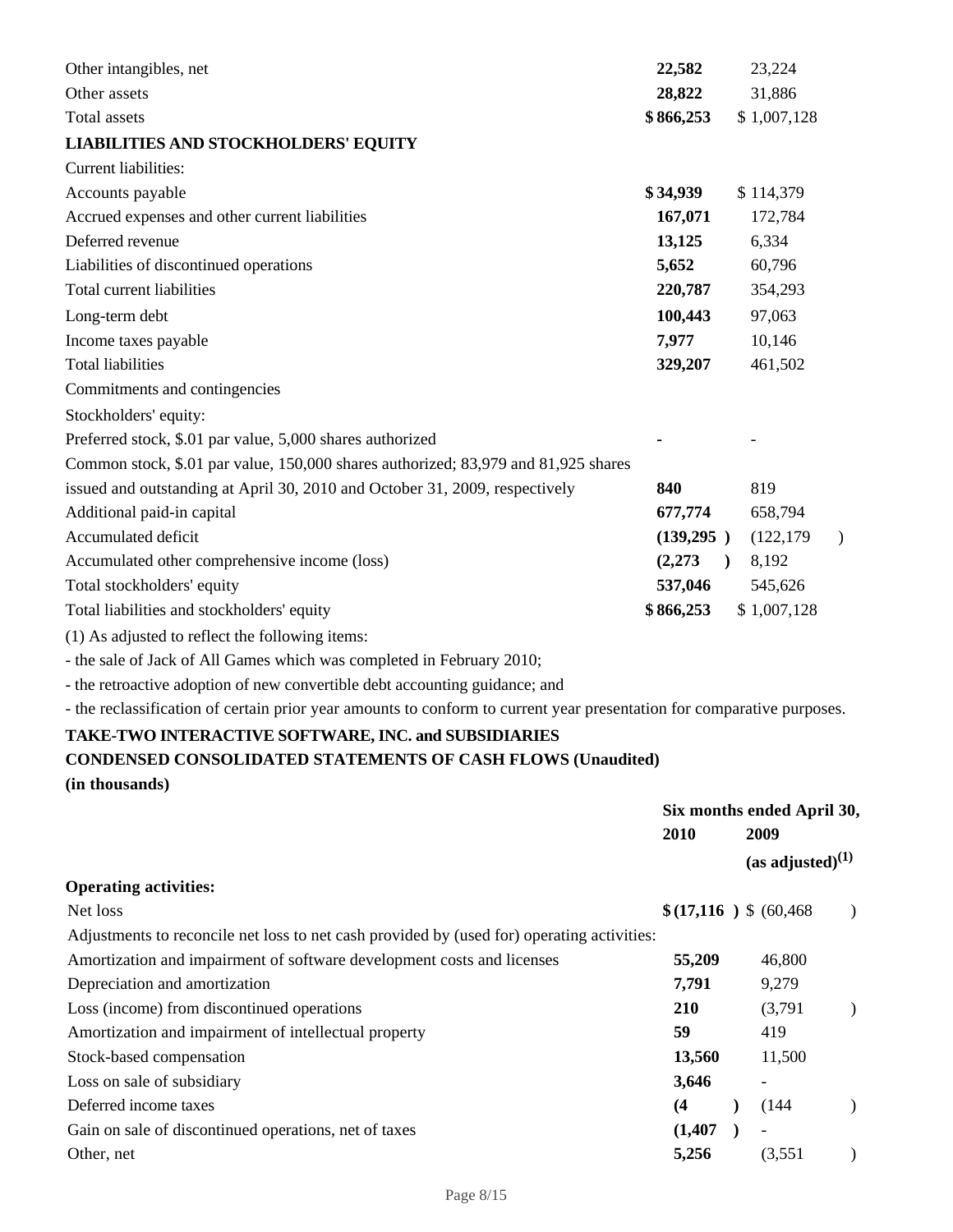| Other intangibles, net                                                             | 22,582                   | 23,224      |               |
|------------------------------------------------------------------------------------|--------------------------|-------------|---------------|
| Other assets                                                                       | 28,822                   | 31,886      |               |
| Total assets                                                                       | \$866,253                | \$1,007,128 |               |
| <b>LIABILITIES AND STOCKHOLDERS' EQUITY</b>                                        |                          |             |               |
| <b>Current liabilities:</b>                                                        |                          |             |               |
| Accounts payable                                                                   | \$34,939                 | \$114,379   |               |
| Accrued expenses and other current liabilities                                     | 167,071                  | 172,784     |               |
| Deferred revenue                                                                   | 13,125                   | 6,334       |               |
| Liabilities of discontinued operations                                             | 5,652                    | 60,796      |               |
| Total current liabilities                                                          | 220,787                  | 354,293     |               |
| Long-term debt                                                                     | 100,443                  | 97,063      |               |
| Income taxes payable                                                               | 7,977                    | 10,146      |               |
| <b>Total liabilities</b>                                                           | 329,207                  | 461,502     |               |
| Commitments and contingencies                                                      |                          |             |               |
| Stockholders' equity:                                                              |                          |             |               |
| Preferred stock, \$.01 par value, 5,000 shares authorized                          |                          |             |               |
| Common stock, \$.01 par value, 150,000 shares authorized; 83,979 and 81,925 shares |                          |             |               |
| issued and outstanding at April 30, 2010 and October 31, 2009, respectively        | 840                      | 819         |               |
| Additional paid-in capital                                                         | 677,774                  | 658,794     |               |
| Accumulated deficit                                                                | (139,295)                | (122, 179)  | $\mathcal{E}$ |
| Accumulated other comprehensive income (loss)                                      | (2,273)<br>$\rightarrow$ | 8,192       |               |
| Total stockholders' equity                                                         | 537,046                  | 545,626     |               |
| Total liabilities and stockholders' equity                                         | \$866,253                | \$1,007,128 |               |
| (1) As adjusted to reflect the following items:                                    |                          |             |               |

- the sale of Jack of All Games which was completed in February 2010;

- the retroactive adoption of new convertible debt accounting guidance; and

- the reclassification of certain prior year amounts to conform to current year presentation for comparative purposes.

#### **TAKE-TWO INTERACTIVE SOFTWARE, INC. and SUBSIDIARIES**

# **CONDENSED CONSOLIDATED STATEMENTS OF CASH FLOWS (Unaudited)**

**(in thousands)**

|                                                                                            | 2010                    | Six months ended April 30,<br>2009 |  |  |
|--------------------------------------------------------------------------------------------|-------------------------|------------------------------------|--|--|
|                                                                                            |                         | (as adjusted) $^{(1)}$             |  |  |
| <b>Operating activities:</b>                                                               |                         |                                    |  |  |
| Net loss                                                                                   | $$(17,116)$ $$(60,468)$ |                                    |  |  |
| Adjustments to reconcile net loss to net cash provided by (used for) operating activities: |                         |                                    |  |  |
| Amortization and impairment of software development costs and licenses                     | 55,209                  | 46,800                             |  |  |
| Depreciation and amortization                                                              | 7,791                   | 9,279                              |  |  |
| Loss (income) from discontinued operations                                                 | <b>210</b>              | (3,791)                            |  |  |
| Amortization and impairment of intellectual property                                       | 59                      | 419                                |  |  |
| Stock-based compensation                                                                   | 13,560                  | 11,500                             |  |  |
| Loss on sale of subsidiary                                                                 | 3,646                   | $\qquad \qquad -$                  |  |  |
| Deferred income taxes                                                                      | (4)                     | (144)                              |  |  |
| Gain on sale of discontinued operations, net of taxes                                      | (1, 407)                | $\overline{\phantom{a}}$           |  |  |
| Other, net                                                                                 | 5,256                   | (3,551)                            |  |  |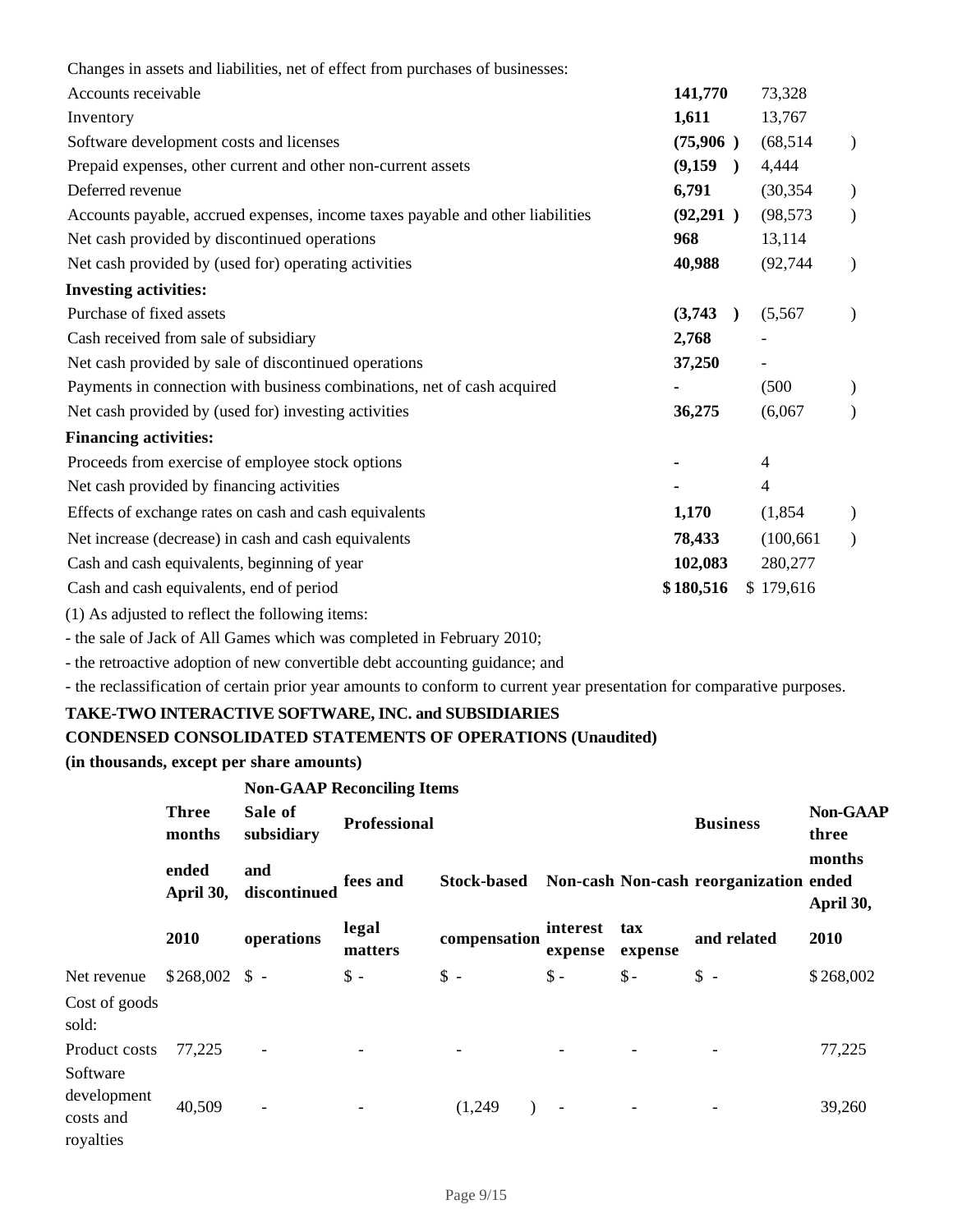Changes in assets and liabilities, net of effect from purchases of businesses:

| Accounts receivable                                                            | 141,770                  | 73,328     |               |
|--------------------------------------------------------------------------------|--------------------------|------------|---------------|
| Inventory                                                                      | 1,611                    | 13,767     |               |
| Software development costs and licenses                                        | (75,906)                 | (68, 514)  | $\lambda$     |
| Prepaid expenses, other current and other non-current assets                   | (9,159)<br>$\rightarrow$ | 4,444      |               |
| Deferred revenue                                                               | 6,791                    | (30, 354)  | $\mathcal{L}$ |
| Accounts payable, accrued expenses, income taxes payable and other liabilities | (92,291)                 | (98, 573)  | $\mathcal{L}$ |
| Net cash provided by discontinued operations                                   | 968                      | 13,114     |               |
| Net cash provided by (used for) operating activities                           | 40,988                   | (92, 744)  | $\mathcal{L}$ |
| <b>Investing activities:</b>                                                   |                          |            |               |
| Purchase of fixed assets                                                       | (3,743)                  | (5, 567)   |               |
| Cash received from sale of subsidiary                                          | 2,768                    |            |               |
| Net cash provided by sale of discontinued operations                           | 37,250                   |            |               |
| Payments in connection with business combinations, net of cash acquired        |                          | (500)      |               |
| Net cash provided by (used for) investing activities                           | 36,275                   | (6,067)    |               |
| <b>Financing activities:</b>                                                   |                          |            |               |
| Proceeds from exercise of employee stock options                               |                          | 4          |               |
| Net cash provided by financing activities                                      |                          | 4          |               |
| Effects of exchange rates on cash and cash equivalents                         | 1,170                    | (1,854)    |               |
| Net increase (decrease) in cash and cash equivalents                           | 78,433                   | (100, 661) | $\mathcal{L}$ |
| Cash and cash equivalents, beginning of year                                   | 102,083                  | 280,277    |               |
| Cash and cash equivalents, end of period                                       | \$180,516                | \$179,616  |               |
|                                                                                |                          |            |               |

(1) As adjusted to reflect the following items:

- the sale of Jack of All Games which was completed in February 2010;

- the retroactive adoption of new convertible debt accounting guidance; and

- the reclassification of certain prior year amounts to conform to current year presentation for comparative purposes.

# **TAKE-TWO INTERACTIVE SOFTWARE, INC. and SUBSIDIARIES**

## **CONDENSED CONSOLIDATED STATEMENTS OF OPERATIONS (Unaudited)**

**(in thousands, except per share amounts)**

#### **Non-GAAP Reconciling Items**

| <b>Three</b><br>months | Sale of<br>subsidiary    | Professional                    |                    |                          |                          | <b>Business</b> | Non-GAAP<br>three                      |  |
|------------------------|--------------------------|---------------------------------|--------------------|--------------------------|--------------------------|-----------------|----------------------------------------|--|
| ended<br>April 30,     | and                      | fees and                        | <b>Stock-based</b> |                          |                          |                 | months<br>April 30,                    |  |
| 2010                   | operations               | legal<br>matters                | compensation       | interest<br>expense      | tax<br>expense           | and related     | 2010                                   |  |
|                        |                          | $\mathsf S$ -                   | $\int$ -           | $\mathsf{\$}$ -          | $\mathcal{S}$ -          | $\uparrow$ -    | \$268,002                              |  |
|                        |                          |                                 |                    |                          |                          |                 |                                        |  |
| 77,225                 | $\overline{\phantom{a}}$ |                                 |                    |                          | $\overline{\phantom{a}}$ |                 | 77,225                                 |  |
|                        |                          |                                 |                    |                          |                          |                 |                                        |  |
| 40,509                 | $\overline{\phantom{0}}$ |                                 | (1,249)            | $\overline{\phantom{a}}$ |                          |                 | 39,260                                 |  |
|                        |                          | discontinued<br>$$268,002$ \$ - |                    |                          |                          |                 | Non-cash Non-cash reorganization ended |  |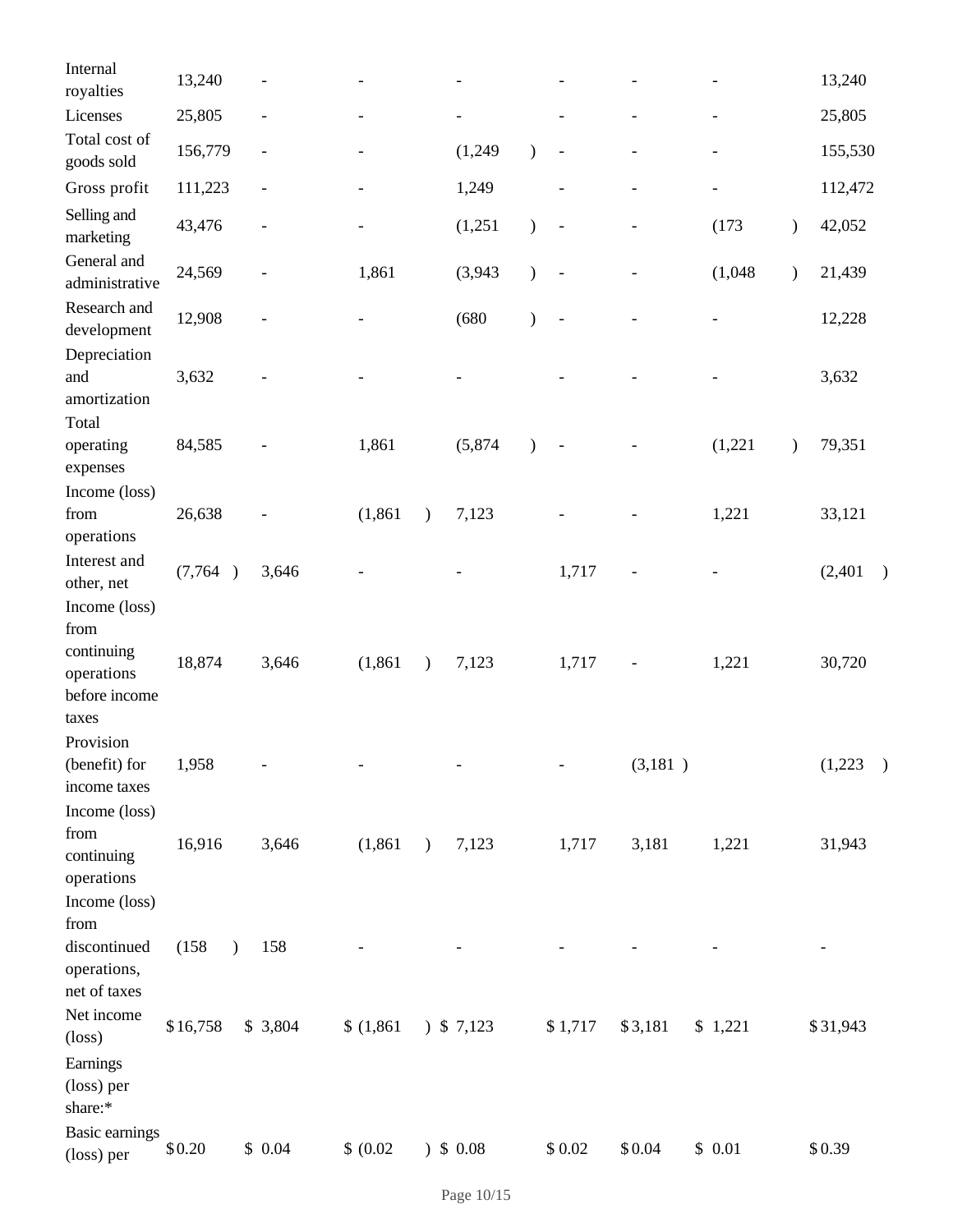| Internal<br>royalties                                              | 13,240   |           |                   |           |           |              |               |                          |         |         |                          |               | 13,240   |               |
|--------------------------------------------------------------------|----------|-----------|-------------------|-----------|-----------|--------------|---------------|--------------------------|---------|---------|--------------------------|---------------|----------|---------------|
| Licenses                                                           | 25,805   |           | $\overline{a}$    |           |           |              |               | $\qquad \qquad -$        |         |         | $\overline{a}$           |               | 25,805   |               |
| Total cost of<br>goods sold                                        | 156,779  |           | $\qquad \qquad -$ |           |           | (1,249)      | $\mathcal{E}$ | $\overline{\phantom{m}}$ |         |         | $\overline{a}$           |               | 155,530  |               |
| Gross profit                                                       | 111,223  |           | $\qquad \qquad -$ |           |           | 1,249        |               | ÷                        |         |         | $\overline{\phantom{0}}$ |               | 112,472  |               |
| Selling and<br>marketing                                           | 43,476   |           | $\overline{a}$    |           |           | (1,251)      | $\mathcal{E}$ | $\qquad \qquad -$        |         |         | (173)                    | $\mathcal{E}$ | 42,052   |               |
| General and<br>administrative                                      | 24,569   |           | $\overline{a}$    | 1,861     |           | (3,943)      | $\mathcal{L}$ | $\overline{a}$           |         |         | (1,048)                  | $\mathcal{E}$ | 21,439   |               |
| Research and<br>development                                        | 12,908   |           |                   |           |           | (680)        | $\mathcal{L}$ | $\overline{a}$           |         |         |                          |               | 12,228   |               |
| Depreciation<br>and<br>amortization                                | 3,632    |           |                   |           |           |              |               |                          |         |         |                          |               | 3,632    |               |
| Total<br>operating<br>expenses                                     | 84,585   |           |                   | 1,861     |           | (5,874)      | $\mathcal{E}$ | $\overline{a}$           |         |         | (1,221)                  | $\mathcal{L}$ | 79,351   |               |
| Income (loss)<br>from<br>operations                                | 26,638   |           |                   | (1, 861)  | $\lambda$ | 7,123        |               |                          |         |         | 1,221                    |               | 33,121   |               |
| Interest and<br>other, net<br>Income (loss)                        | (7,764)  |           | 3,646             |           |           |              |               | 1,717                    |         |         |                          |               | (2, 401) | $\mathcal{E}$ |
| from<br>continuing<br>operations<br>before income<br>taxes         | 18,874   |           | 3,646             | (1, 861)  | $\lambda$ | 7,123        |               | 1,717                    |         |         | 1,221                    |               | 30,720   |               |
| Provision<br>(benefit) for<br>income taxes<br>Income (loss)        | 1,958    |           |                   |           |           |              |               |                          |         | (3,181) |                          |               | (1,223)  | $\mathcal{E}$ |
| from<br>continuing<br>operations<br>Income (loss)                  | 16,916   |           | 3,646             | (1, 861)  | $\lambda$ | 7,123        |               | 1,717                    | 3,181   |         | 1,221                    |               | 31,943   |               |
| from<br>discontinued<br>operations,<br>net of taxes                | (158)    | $\lambda$ | 158               |           |           |              |               |                          |         |         |                          |               |          |               |
| Net income<br>$(\text{loss})$<br>Earnings<br>(loss) per<br>share:* | \$16,758 |           | \$ 3,804          | \$(1,861) |           | $)$ \$ 7,123 |               | \$1,717                  | \$3,181 |         | \$1,221                  |               | \$31,943 |               |
| <b>Basic earnings</b><br>(loss) per                                | \$0.20   |           | \$0.04            | \$ (0.02) |           | $)$ \$ 0.08  |               | \$0.02                   | \$0.04  |         | \$0.01                   |               | \$0.39   |               |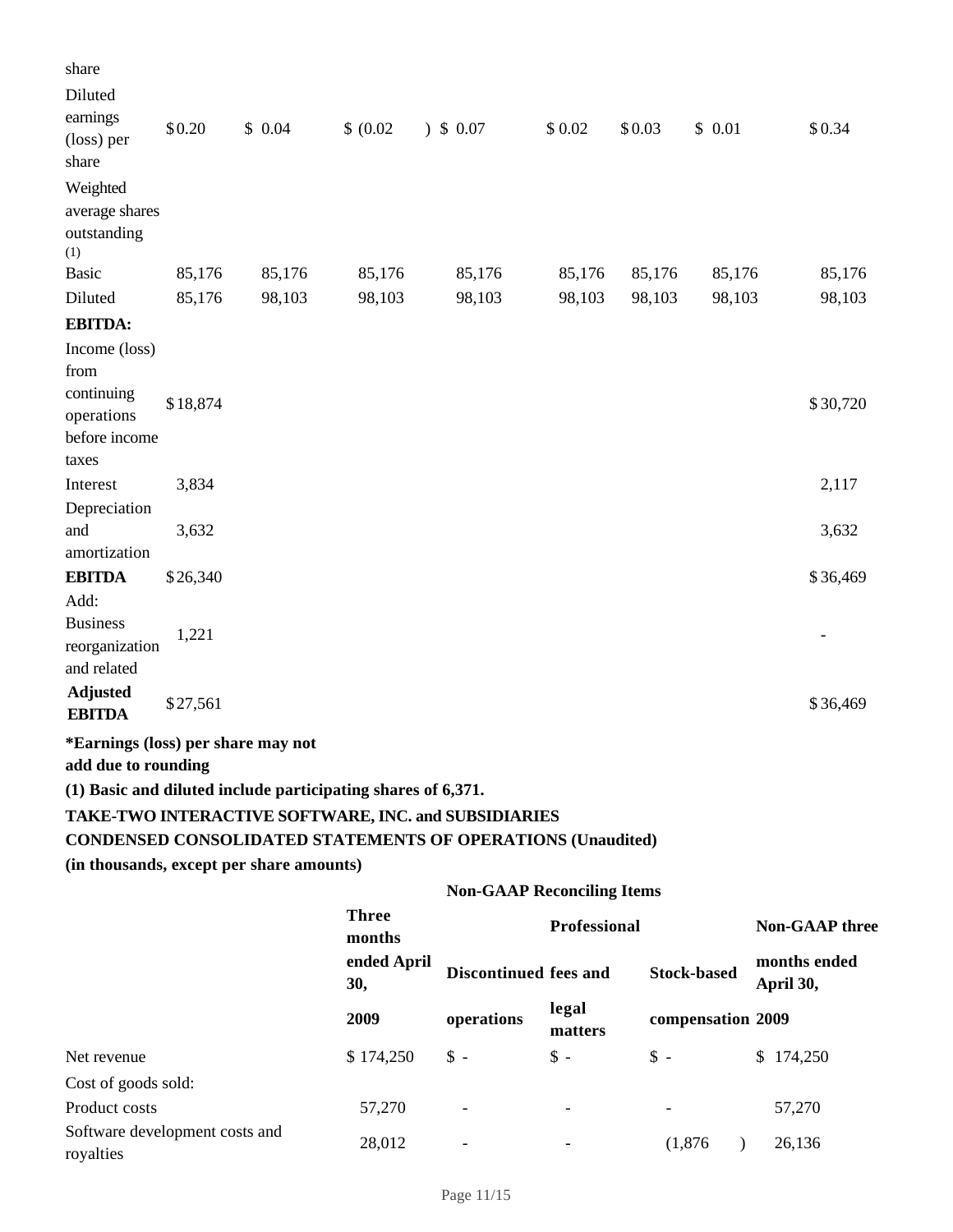| share                                                              |          |        |                    |  |                                   |                     |                    |         |                   |           |                       |
|--------------------------------------------------------------------|----------|--------|--------------------|--|-----------------------------------|---------------------|--------------------|---------|-------------------|-----------|-----------------------|
| Diluted<br>earnings                                                |          |        |                    |  |                                   |                     |                    |         |                   |           |                       |
| (loss) per<br>share                                                | \$0.20   | \$0.04 | \$ (0.02)          |  | $)$ \$ 0.07                       | \$0.02              | \$0.03             |         | \$0.01            |           | \$0.34                |
| Weighted                                                           |          |        |                    |  |                                   |                     |                    |         |                   |           |                       |
| average shares                                                     |          |        |                    |  |                                   |                     |                    |         |                   |           |                       |
| outstanding                                                        |          |        |                    |  |                                   |                     |                    |         |                   |           |                       |
| (1)<br><b>Basic</b>                                                | 85,176   | 85,176 | 85,176             |  | 85,176                            | 85,176              | 85,176             |         | 85,176            |           | 85,176                |
| Diluted                                                            | 85,176   | 98,103 | 98,103             |  | 98,103                            | 98,103              | 98,103             |         | 98,103            |           | 98,103                |
| <b>EBITDA:</b>                                                     |          |        |                    |  |                                   |                     |                    |         |                   |           |                       |
| Income (loss)                                                      |          |        |                    |  |                                   |                     |                    |         |                   |           |                       |
| from                                                               |          |        |                    |  |                                   |                     |                    |         |                   |           |                       |
| continuing<br>operations                                           | \$18,874 |        |                    |  |                                   |                     |                    |         |                   |           | \$30,720              |
| before income                                                      |          |        |                    |  |                                   |                     |                    |         |                   |           |                       |
| taxes                                                              |          |        |                    |  |                                   |                     |                    |         |                   |           |                       |
| Interest                                                           | 3,834    |        |                    |  |                                   |                     |                    |         |                   |           | 2,117                 |
| Depreciation<br>and                                                |          |        |                    |  |                                   |                     |                    |         |                   |           |                       |
| amortization                                                       | 3,632    |        |                    |  |                                   |                     |                    |         |                   |           | 3,632                 |
| <b>EBITDA</b>                                                      | \$26,340 |        |                    |  |                                   |                     |                    |         |                   |           | \$36,469              |
| Add:                                                               |          |        |                    |  |                                   |                     |                    |         |                   |           |                       |
| <b>Business</b>                                                    | 1,221    |        |                    |  |                                   |                     |                    |         |                   |           |                       |
| reorganization<br>and related                                      |          |        |                    |  |                                   |                     |                    |         |                   |           |                       |
| <b>Adjusted</b><br><b>EBITDA</b>                                   | \$27,561 |        |                    |  |                                   |                     |                    |         |                   |           | \$36,469              |
| *Earnings (loss) per share may not                                 |          |        |                    |  |                                   |                     |                    |         |                   |           |                       |
| add due to rounding                                                |          |        |                    |  |                                   |                     |                    |         |                   |           |                       |
| (1) Basic and diluted include participating shares of 6,371.       |          |        |                    |  |                                   |                     |                    |         |                   |           |                       |
| TAKE-TWO INTERACTIVE SOFTWARE, INC. and SUBSIDIARIES               |          |        |                    |  |                                   |                     |                    |         |                   |           |                       |
| <b>CONDENSED CONSOLIDATED STATEMENTS OF OPERATIONS (Unaudited)</b> |          |        |                    |  |                                   |                     |                    |         |                   |           |                       |
| (in thousands, except per share amounts)                           |          |        |                    |  |                                   |                     |                    |         |                   |           |                       |
|                                                                    |          |        | <b>Three</b>       |  | <b>Non-GAAP Reconciling Items</b> |                     |                    |         |                   |           |                       |
|                                                                    |          |        | months             |  |                                   | <b>Professional</b> |                    |         |                   |           | <b>Non-GAAP</b> three |
|                                                                    |          |        | ended April<br>30, |  | <b>Discontinued fees and</b>      |                     | <b>Stock-based</b> |         |                   | April 30, | months ended          |
|                                                                    |          |        | 2009               |  | operations                        | legal<br>matters    |                    |         | compensation 2009 |           |                       |
| Net revenue                                                        |          |        | \$174,250          |  | $\uparrow$ -                      | $\mathsf{\$}$ -     | $\frac{1}{2}$ -    |         |                   |           | \$174,250             |
| Cost of goods sold:                                                |          |        |                    |  |                                   |                     |                    |         |                   |           |                       |
| Product costs                                                      |          |        | 57,270             |  |                                   |                     |                    |         |                   |           | 57,270                |
| Software development costs and<br>royalties                        |          |        | 28,012             |  |                                   |                     |                    | (1,876) | $\mathcal{L}$     |           | 26,136                |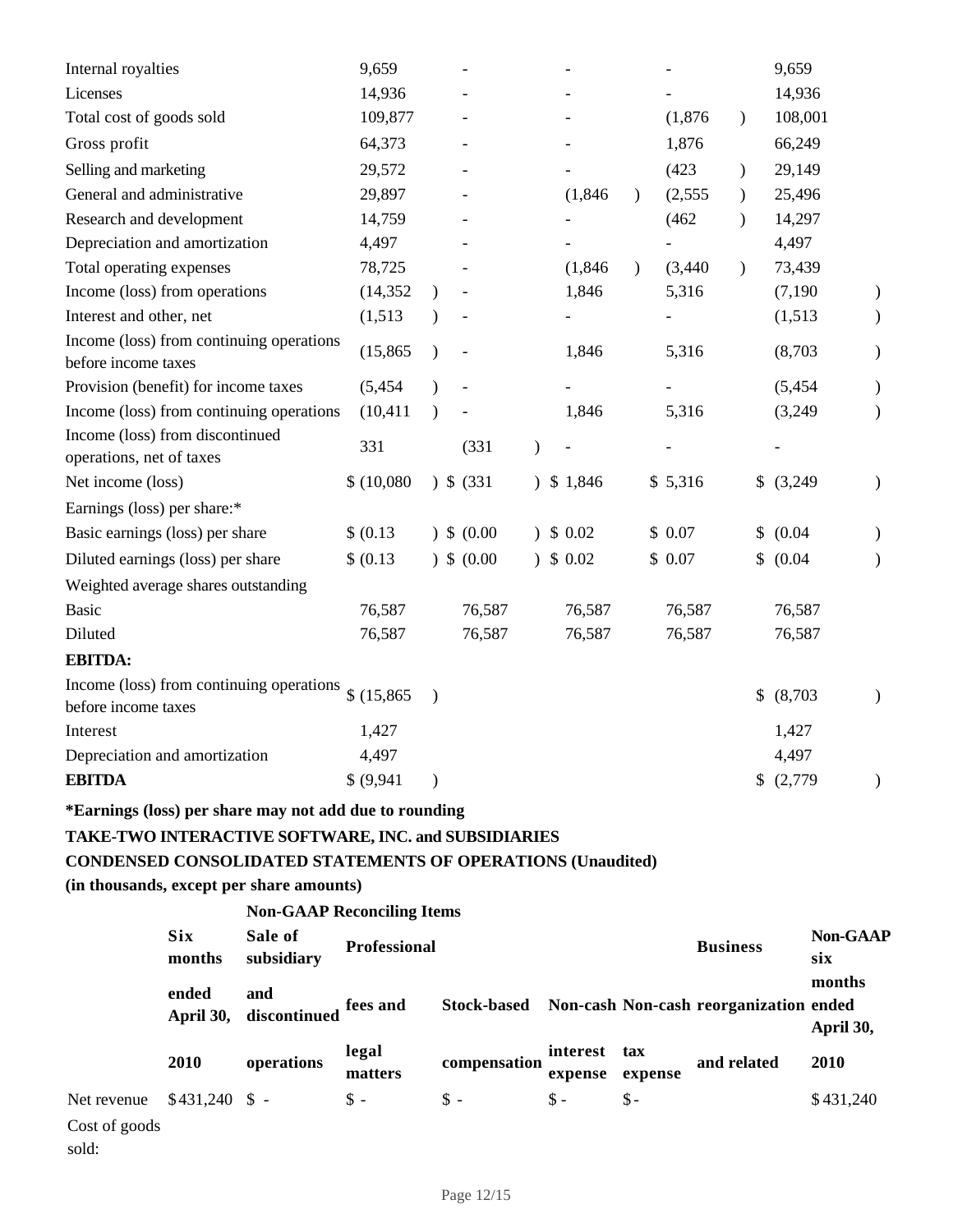| Cost of goods                                       |                      |                                                                    |                  |                |              |                    |                |                                        |                 |         |                 |               |               |                                  |               |
|-----------------------------------------------------|----------------------|--------------------------------------------------------------------|------------------|----------------|--------------|--------------------|----------------|----------------------------------------|-----------------|---------|-----------------|---------------|---------------|----------------------------------|---------------|
| Net revenue                                         | $$431,240$ \$ -      |                                                                    | $\mathsf{\$}$ -  |                | $\uparrow$ - |                    |                | $\mathsf{\$}$ -                        | $\mathsf{\$}$ - |         |                 |               |               | \$431,240                        |               |
|                                                     | 2010                 | operations                                                         | legal<br>matters |                |              | compensation       |                | interest<br>expense                    | tax             | expense | and related     |               |               | 2010                             |               |
|                                                     | ended<br>April 30,   | and<br>discontinued                                                | fees and         |                |              | <b>Stock-based</b> |                | Non-cash Non-cash reorganization ended |                 |         |                 |               |               | April 30,                        |               |
|                                                     | <b>Six</b><br>months | Sale of<br>subsidiary                                              | Professional     |                |              |                    |                |                                        |                 |         | <b>Business</b> |               |               | <b>Non-GAAP</b><br>six<br>months |               |
|                                                     |                      | <b>Non-GAAP Reconciling Items</b>                                  |                  |                |              |                    |                |                                        |                 |         |                 |               |               |                                  |               |
|                                                     |                      | (in thousands, except per share amounts)                           |                  |                |              |                    |                |                                        |                 |         |                 |               |               |                                  |               |
|                                                     |                      | <b>CONDENSED CONSOLIDATED STATEMENTS OF OPERATIONS (Unaudited)</b> |                  |                |              |                    |                |                                        |                 |         |                 |               |               |                                  |               |
|                                                     |                      | TAKE-TWO INTERACTIVE SOFTWARE, INC. and SUBSIDIARIES               |                  |                |              |                    |                |                                        |                 |         |                 |               |               |                                  |               |
|                                                     |                      | *Earnings (loss) per share may not add due to rounding             |                  |                |              |                    |                |                                        |                 |         |                 |               |               |                                  |               |
| <b>EBITDA</b>                                       |                      |                                                                    | \$ (9,941)       | $\lambda$      |              |                    |                |                                        |                 |         |                 |               | \$(2,779)     |                                  | $\lambda$     |
| Depreciation and amortization                       |                      |                                                                    | 4,497            |                |              |                    |                |                                        |                 |         |                 |               | 4,497         |                                  |               |
| Interest                                            |                      |                                                                    | 1,427            |                |              |                    |                |                                        |                 |         |                 |               | 1,427         |                                  |               |
| before income taxes                                 |                      |                                                                    | \$(15,865)       | $\lambda$      |              |                    |                |                                        |                 |         |                 |               | \$<br>(8,703) |                                  | $\lambda$     |
|                                                     |                      | Income (loss) from continuing operations                           |                  |                |              |                    |                |                                        |                 |         |                 |               |               |                                  |               |
| <b>EBITDA:</b>                                      |                      |                                                                    |                  |                |              |                    |                |                                        |                 |         |                 |               |               |                                  |               |
| Diluted                                             |                      |                                                                    | 76,587           |                |              | 76,587             |                | 76,587                                 |                 | 76,587  |                 |               | 76,587        |                                  |               |
| Weighted average shares outstanding<br><b>Basic</b> |                      |                                                                    | 76,587           |                |              | 76,587             |                | 76,587                                 |                 | 76,587  |                 |               | 76,587        |                                  |               |
| Diluted earnings (loss) per share                   |                      |                                                                    | \$ (0.13)        | 5 <sup>°</sup> |              | (0.00)             | 5 <sup>°</sup> | 0.02                                   |                 | \$0.07  |                 |               | \$<br>(0.04)  |                                  |               |
| Basic earnings (loss) per share                     |                      |                                                                    | \$ (0.13)        |                |              | \$ (0.00)          |                | 3, 0.02                                |                 | \$0.07  |                 |               | \$<br>(0.04)  |                                  |               |
| Earnings (loss) per share:*                         |                      |                                                                    |                  |                |              |                    |                |                                        |                 |         |                 |               |               |                                  |               |
| Net income (loss)                                   |                      |                                                                    | \$(10,080)       |                |              | $)$ \$ (331)       |                | 3, 1, 846                              |                 | \$5,316 |                 |               | \$<br>(3,249) |                                  | $\mathcal{)}$ |
| operations, net of taxes                            |                      |                                                                    |                  |                |              |                    |                |                                        |                 |         |                 |               |               |                                  |               |
| Income (loss) from discontinued                     |                      |                                                                    | 331              |                |              | (331)              | $\mathcal{E}$  |                                        |                 |         |                 |               |               |                                  |               |
|                                                     |                      | Income (loss) from continuing operations                           | (10, 411)        |                |              |                    |                | 1,846                                  |                 | 5,316   |                 |               | (3,249)       |                                  | $\mathcal{E}$ |
| Provision (benefit) for income taxes                |                      |                                                                    | (5, 454)         |                |              |                    |                |                                        |                 |         |                 |               | (5, 454)      |                                  |               |
| before income taxes                                 |                      | Income (loss) from continuing operations                           | (15, 865)        |                |              |                    |                | 1,846                                  |                 | 5,316   |                 |               | (8,703)       |                                  | $\mathcal{E}$ |
| Interest and other, net                             |                      |                                                                    | (1,513)          |                |              |                    |                |                                        |                 |         |                 |               | (1,513)       |                                  |               |
| Income (loss) from operations                       |                      |                                                                    | (14, 352)        |                |              |                    |                | 1,846                                  |                 | 5,316   |                 |               | (7,190)       |                                  |               |
| Total operating expenses                            |                      |                                                                    | 78,725           |                |              |                    |                | (1,846)                                | $\lambda$       | (3,440) |                 | $\lambda$     | 73,439        |                                  |               |
| Depreciation and amortization                       |                      |                                                                    | 4,497            |                |              |                    |                |                                        |                 |         |                 |               | 4,497         |                                  |               |
| Research and development                            |                      |                                                                    | 14,759           |                |              |                    |                |                                        |                 | (462)   |                 |               | 14,297        |                                  |               |
| General and administrative                          |                      |                                                                    | 29,897           |                |              |                    |                | (1,846)                                | $\lambda$       | (2,555) |                 |               | 25,496        |                                  |               |
| Selling and marketing                               |                      |                                                                    | 29,572           |                |              |                    |                |                                        |                 | (423)   |                 | $\mathcal{L}$ | 29,149        |                                  |               |
| Gross profit                                        |                      |                                                                    | 64,373           |                |              |                    |                |                                        |                 | 1,876   |                 |               | 66,249        |                                  |               |
| Total cost of goods sold                            |                      |                                                                    | 109,877          |                |              |                    |                |                                        |                 | (1,876) |                 | $\lambda$     | 108,001       |                                  |               |
| Licenses                                            |                      |                                                                    | 14,936           |                |              |                    |                |                                        |                 |         |                 |               | 14,936        |                                  |               |
| Internal royalties                                  |                      |                                                                    | 9,659            |                |              |                    |                |                                        |                 |         |                 |               | 9,659         |                                  |               |

sold: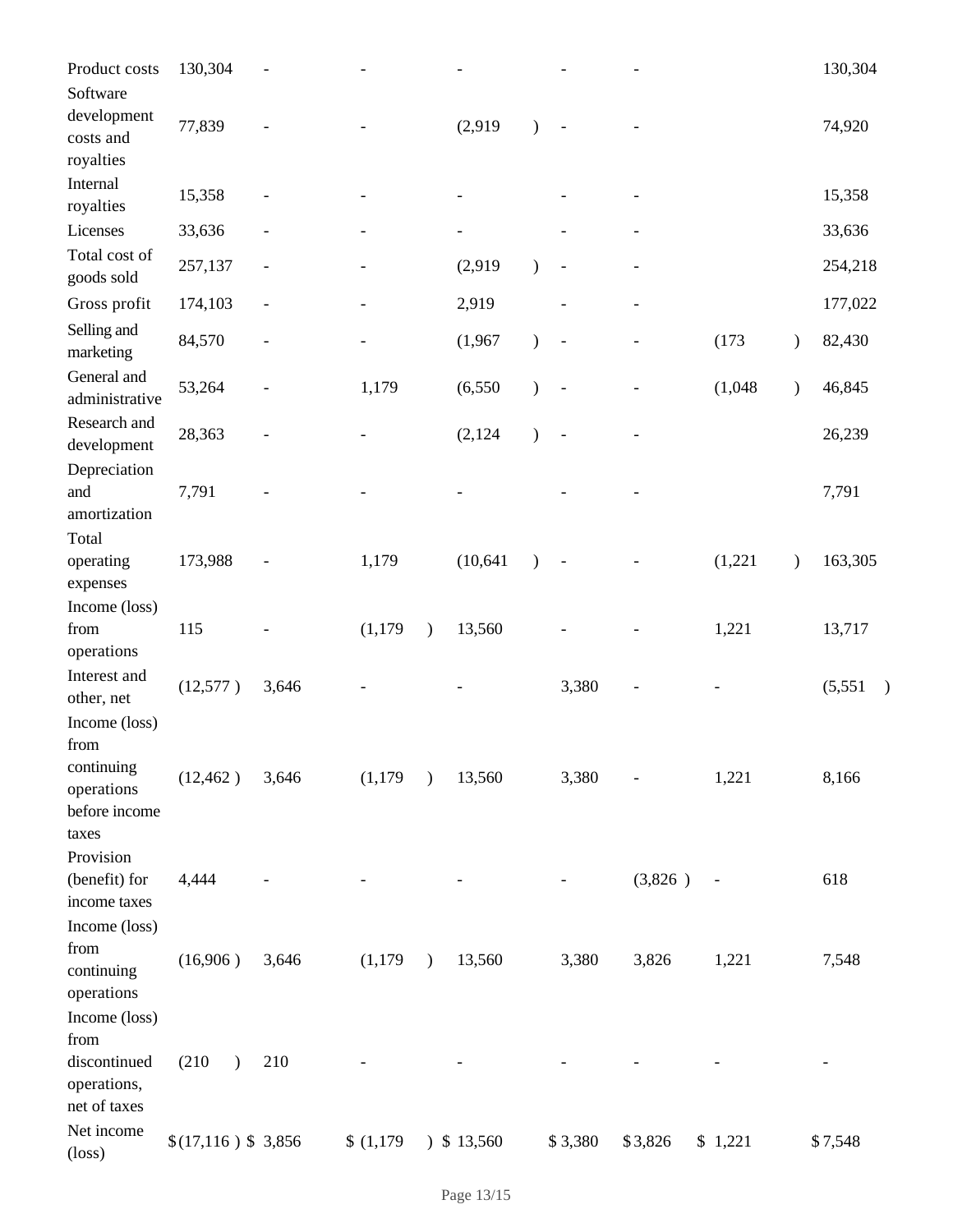| Product costs                                                               | 130,304                |                          |           |           |           |               |         |                          |                          |                        | 130,304 |
|-----------------------------------------------------------------------------|------------------------|--------------------------|-----------|-----------|-----------|---------------|---------|--------------------------|--------------------------|------------------------|---------|
| Software<br>development<br>costs and                                        | 77,839                 |                          |           |           | (2,919)   | $\mathcal{E}$ | ÷,      |                          |                          |                        | 74,920  |
| royalties<br>Internal<br>royalties                                          | 15,358                 |                          |           |           |           |               |         |                          |                          |                        | 15,358  |
| Licenses                                                                    | 33,636                 |                          |           |           |           |               |         |                          |                          |                        | 33,636  |
| Total cost of<br>goods sold                                                 | 257,137                | $\overline{a}$           |           |           | (2,919)   | $\mathcal{E}$ | ÷       |                          |                          |                        | 254,218 |
| Gross profit                                                                | 174,103                | $\overline{\phantom{a}}$ |           |           | 2,919     |               |         | $\overline{\phantom{a}}$ |                          |                        | 177,022 |
| Selling and<br>marketing                                                    | 84,570                 | $\overline{a}$           |           |           | (1,967)   | $\mathcal{E}$ | ÷       |                          | (173)                    | $\mathcal{C}^{\prime}$ | 82,430  |
| General and<br>administrative                                               | 53,264                 |                          | 1,179     |           | (6, 550)  | $\lambda$     | ÷,      |                          | (1,048)                  | $\mathcal{E}$          | 46,845  |
| Research and<br>development                                                 | 28,363                 |                          |           |           | (2, 124)  | $\mathcal{E}$ | ÷       |                          |                          |                        | 26,239  |
| Depreciation<br>and<br>amortization                                         | 7,791                  |                          |           |           |           |               |         |                          |                          |                        | 7,791   |
| Total<br>operating<br>expenses                                              | 173,988                |                          | 1,179     |           | (10, 641) | $\mathcal{E}$ |         |                          | (1,221)                  | $\mathcal{E}$          | 163,305 |
| Income (loss)<br>from<br>operations                                         | 115                    |                          | (1, 179)  | $\lambda$ | 13,560    |               |         |                          | 1,221                    |                        | 13,717  |
| Interest and<br>other, net                                                  | (12,577)               | 3,646                    |           |           |           |               | 3,380   |                          |                          |                        | (5,551) |
| Income (loss)<br>from<br>continuing<br>operations<br>before income<br>taxes | (12, 462)              | 3,646                    | (1,179)   | $\lambda$ | 13,560    |               | 3,380   | $\overline{\phantom{a}}$ | 1,221                    |                        | 8,166   |
| Provision<br>(benefit) for<br>income taxes<br>Income (loss)                 | 4,444                  |                          |           |           |           |               |         | (3,826)                  | $\overline{\phantom{0}}$ |                        | 618     |
| from<br>continuing<br>operations<br>Income (loss)                           | (16,906)               | 3,646                    | (1,179)   | $\lambda$ | 13,560    |               | 3,380   | 3,826                    | 1,221                    |                        | 7,548   |
| from<br>discontinued<br>operations,<br>net of taxes                         | (210)<br>$\mathcal{E}$ | 210                      |           |           |           |               |         |                          |                          |                        |         |
| Net income<br>$(\text{loss})$                                               | $$(17,116)$ \$ 3,856   |                          | \$(1,179) |           | 3,560     |               | \$3,380 | \$3,826                  | \$1,221                  |                        | \$7,548 |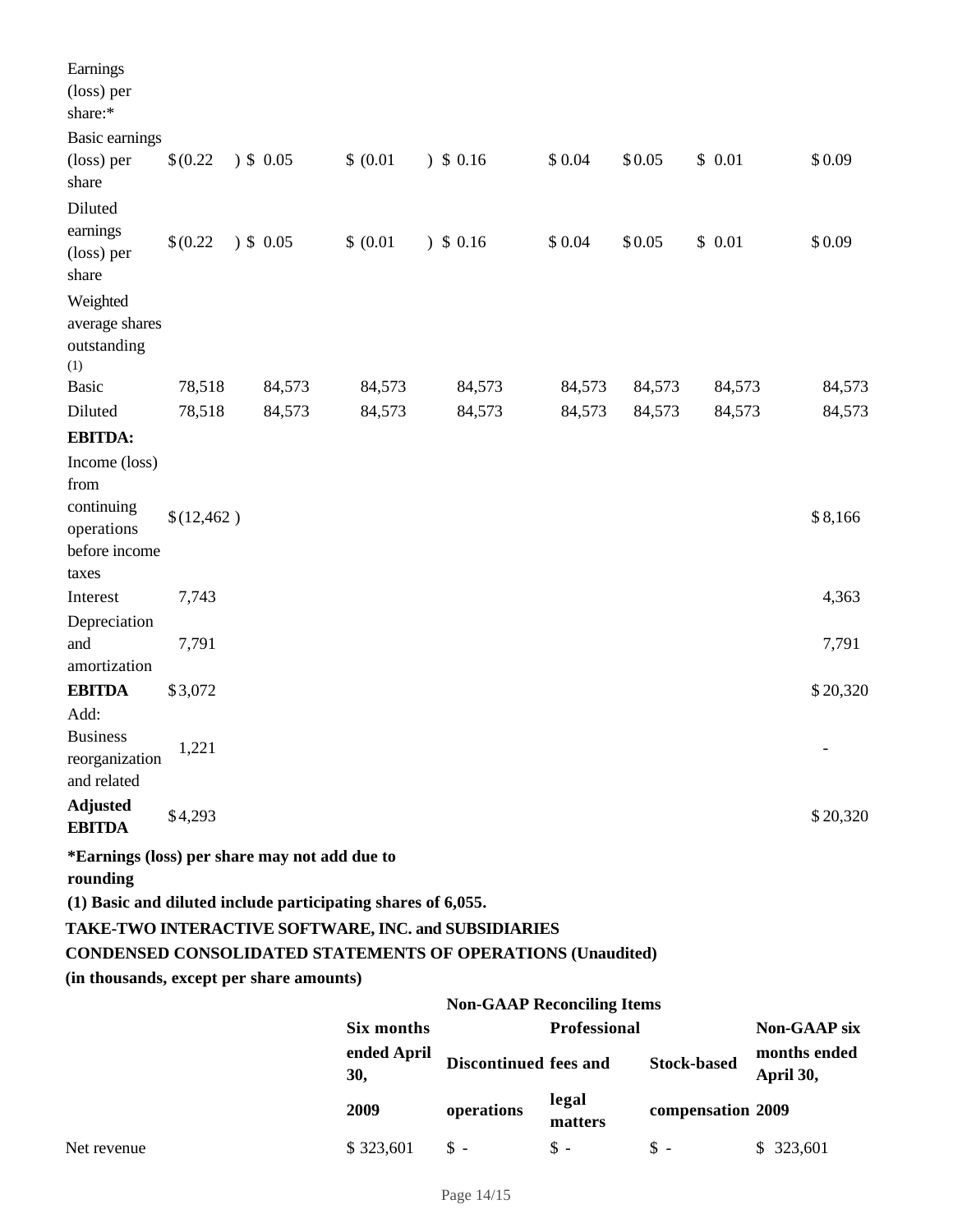| Earnings                                      |            |          |           |             |        |        |        |          |
|-----------------------------------------------|------------|----------|-----------|-------------|--------|--------|--------|----------|
| (loss) per                                    |            |          |           |             |        |        |        |          |
| share:*                                       |            |          |           |             |        |        |        |          |
| <b>Basic earnings</b><br>(loss) per           | \$(0.22)   | ) \$0.05 | \$ (0.01) | $)$ \$ 0.16 | \$0.04 | \$0.05 | \$0.01 | \$0.09   |
| share                                         |            |          |           |             |        |        |        |          |
| Diluted                                       |            |          |           |             |        |        |        |          |
| earnings                                      | \$(0.22)   | ) \$0.05 | \$ (0.01) | ) \$0.16    | \$0.04 | \$0.05 | \$0.01 | \$0.09   |
| (loss) per                                    |            |          |           |             |        |        |        |          |
| share                                         |            |          |           |             |        |        |        |          |
| Weighted                                      |            |          |           |             |        |        |        |          |
| average shares<br>outstanding                 |            |          |           |             |        |        |        |          |
| (1)                                           |            |          |           |             |        |        |        |          |
| <b>Basic</b>                                  | 78,518     | 84,573   | 84,573    | 84,573      | 84,573 | 84,573 | 84,573 | 84,573   |
| Diluted                                       | 78,518     | 84,573   | 84,573    | 84,573      | 84,573 | 84,573 | 84,573 | 84,573   |
| <b>EBITDA:</b>                                |            |          |           |             |        |        |        |          |
| Income (loss)                                 |            |          |           |             |        |        |        |          |
| from                                          |            |          |           |             |        |        |        |          |
| continuing<br>operations                      | \$(12,462) |          |           |             |        |        |        | \$8,166  |
| before income                                 |            |          |           |             |        |        |        |          |
| taxes                                         |            |          |           |             |        |        |        |          |
| Interest                                      | 7,743      |          |           |             |        |        |        | 4,363    |
| Depreciation                                  |            |          |           |             |        |        |        |          |
| and<br>amortization                           | 7,791      |          |           |             |        |        |        | 7,791    |
| <b>EBITDA</b>                                 | \$3,072    |          |           |             |        |        |        | \$20,320 |
| Add:                                          |            |          |           |             |        |        |        |          |
| <b>Business</b>                               |            |          |           |             |        |        |        |          |
| reorganization                                | 1,221      |          |           |             |        |        |        |          |
| and related                                   |            |          |           |             |        |        |        |          |
| <b>Adjusted</b><br><b>EBITDA</b>              | \$4,293    |          |           |             |        |        |        | \$20,320 |
| *Earnings (loss) per share may not add due to |            |          |           |             |        |        |        |          |
| rounding                                      |            |          |           |             |        |        |        |          |

**(1) Basic and diluted include participating shares of 6,055.**

# **TAKE-TWO INTERACTIVE SOFTWARE, INC. and SUBSIDIARIES**

**CONDENSED CONSOLIDATED STATEMENTS OF OPERATIONS (Unaudited)**

#### **(in thousands, except per share amounts)**

# **Non-GAAP Reconciling Items**

|             | Six months         |                              | <b>Professional</b> |                    | <b>Non-GAAP</b> six       |  |  |
|-------------|--------------------|------------------------------|---------------------|--------------------|---------------------------|--|--|
|             | ended April<br>30, | <b>Discontinued fees and</b> |                     | <b>Stock-based</b> | months ended<br>April 30, |  |  |
|             | 2009               | operations                   | legal<br>matters    | compensation 2009  |                           |  |  |
| Net revenue | \$323,601          | $S -$                        | $S -$               | $S -$              | \$ 323,601                |  |  |